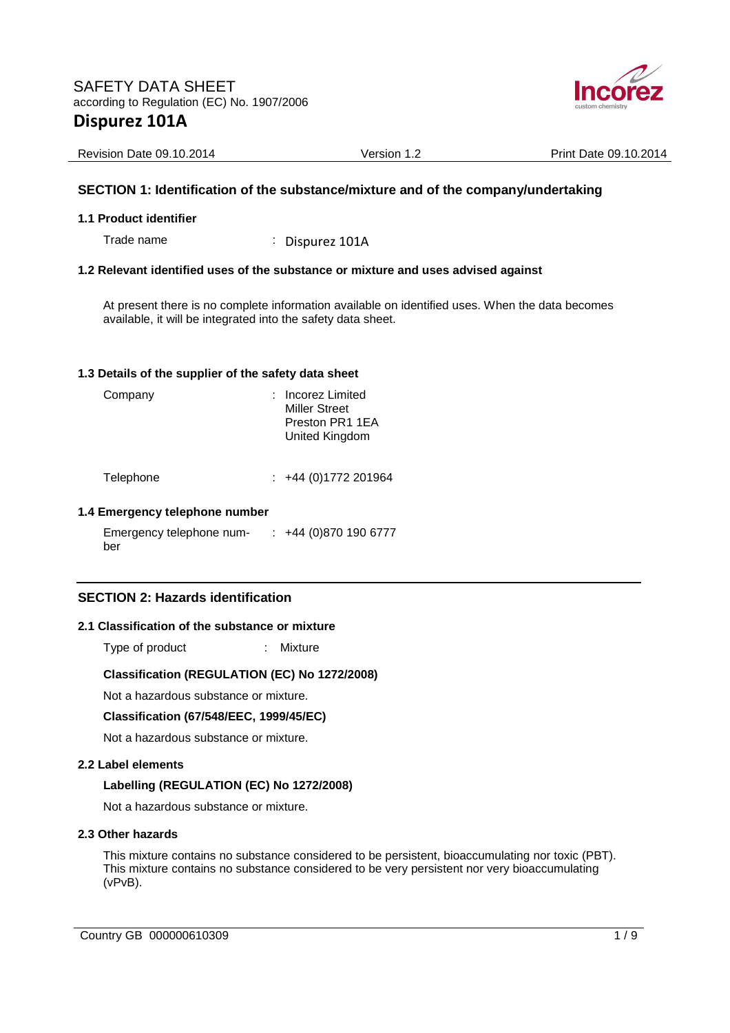

Revision Date 09.10.2014 <br>
Version 1.2 Print Date 09.10.2014

# **SECTION 1: Identification of the substance/mixture and of the company/undertaking**

#### **1.1 Product identifier**

Trade name : Dispurez 101A

# **1.2 Relevant identified uses of the substance or mixture and uses advised against**

At present there is no complete information available on identified uses. When the data becomes available, it will be integrated into the safety data sheet.

#### **1.3 Details of the supplier of the safety data sheet**

| Company   | : Incorez Limited<br><b>Miller Street</b><br>Preston PR1 1EA<br>United Kingdom |
|-----------|--------------------------------------------------------------------------------|
| Telephone | +44 (0) 1772 201964                                                            |

#### **1.4 Emergency telephone number**

Emergency telephone number : +44 (0)870 190 6777

# **SECTION 2: Hazards identification**

#### **2.1 Classification of the substance or mixture**

Type of product : Mixture

#### **Classification (REGULATION (EC) No 1272/2008)**

Not a hazardous substance or mixture.

#### **Classification (67/548/EEC, 1999/45/EC)**

Not a hazardous substance or mixture.

#### **2.2 Label elements**

#### **Labelling (REGULATION (EC) No 1272/2008)**

Not a hazardous substance or mixture.

#### **2.3 Other hazards**

This mixture contains no substance considered to be persistent, bioaccumulating nor toxic (PBT). This mixture contains no substance considered to be very persistent nor very bioaccumulating (vPvB).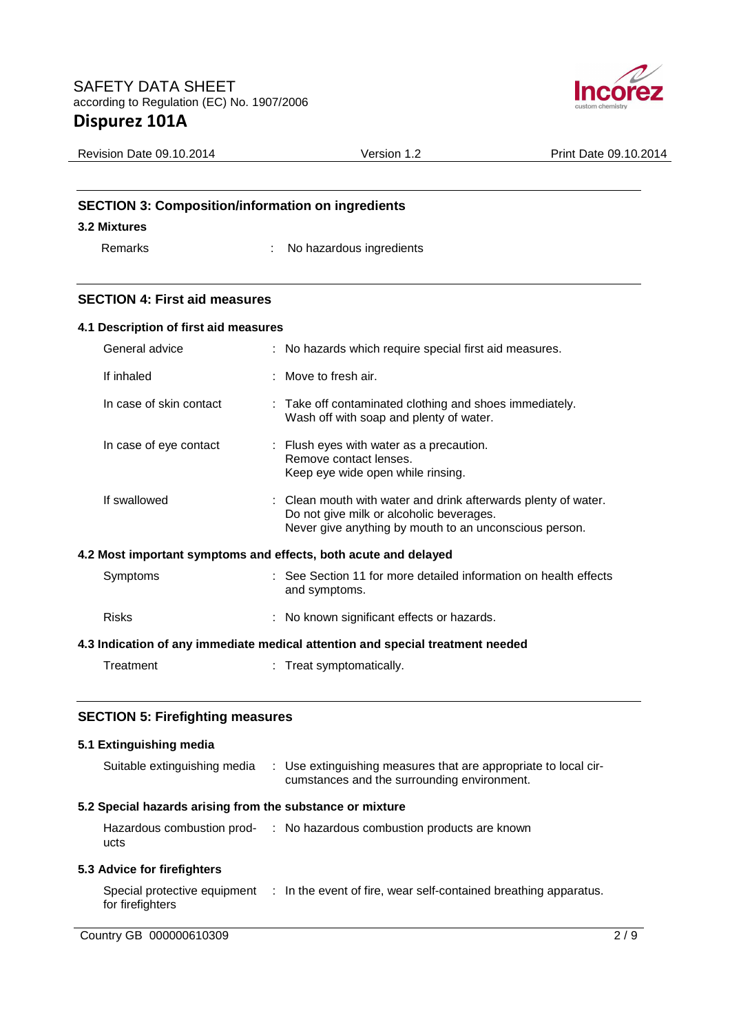

| <b>Revision Date 09.10.2014</b>                          | Version 1.2 | Print Date 09.10.2014 |
|----------------------------------------------------------|-------------|-----------------------|
|                                                          |             |                       |
| <b>SECTION 3: Composition/information on ingredients</b> |             |                       |
| 3.2 Mixtures                                             |             |                       |

Remarks : No hazardous ingredients

# **SECTION 4: First aid measures**

| 4.1 Description of first aid measures                                          |  |                                                                                                                                                                      |  |
|--------------------------------------------------------------------------------|--|----------------------------------------------------------------------------------------------------------------------------------------------------------------------|--|
| General advice                                                                 |  | : No hazards which require special first aid measures.                                                                                                               |  |
| If inhaled                                                                     |  | $\therefore$ Move to fresh air.                                                                                                                                      |  |
| In case of skin contact                                                        |  | : Take off contaminated clothing and shoes immediately.<br>Wash off with soap and plenty of water.                                                                   |  |
| In case of eye contact                                                         |  | : Flush eyes with water as a precaution.<br>Remove contact lenses.<br>Keep eye wide open while rinsing.                                                              |  |
| If swallowed                                                                   |  | : Clean mouth with water and drink afterwards plenty of water.<br>Do not give milk or alcoholic beverages.<br>Never give anything by mouth to an unconscious person. |  |
| 4.2 Most important symptoms and effects, both acute and delayed                |  |                                                                                                                                                                      |  |
| Symptoms                                                                       |  | : See Section 11 for more detailed information on health effects<br>and symptoms.                                                                                    |  |
| <b>Risks</b>                                                                   |  | : No known significant effects or hazards.                                                                                                                           |  |
| 4.3 Indication of any immediate medical attention and special treatment needed |  |                                                                                                                                                                      |  |
| Treatment                                                                      |  | : Treat symptomatically.                                                                                                                                             |  |
|                                                                                |  |                                                                                                                                                                      |  |

# **SECTION 5: Firefighting measures**

# **5.1 Extinguishing media**

| Suitable extinguishing media                              | : Use extinguishing measures that are appropriate to local cir-<br>cumstances and the surrounding environment. |
|-----------------------------------------------------------|----------------------------------------------------------------------------------------------------------------|
| 5.2 Special hazards arising from the substance or mixture |                                                                                                                |
| ucts                                                      | Hazardous combustion prod- : No hazardous combustion products are known                                        |
| 5.3 Advice for firefighters                               |                                                                                                                |
| for firefighters                                          | Special protective equipment : In the event of fire, wear self-contained breathing apparatus.                  |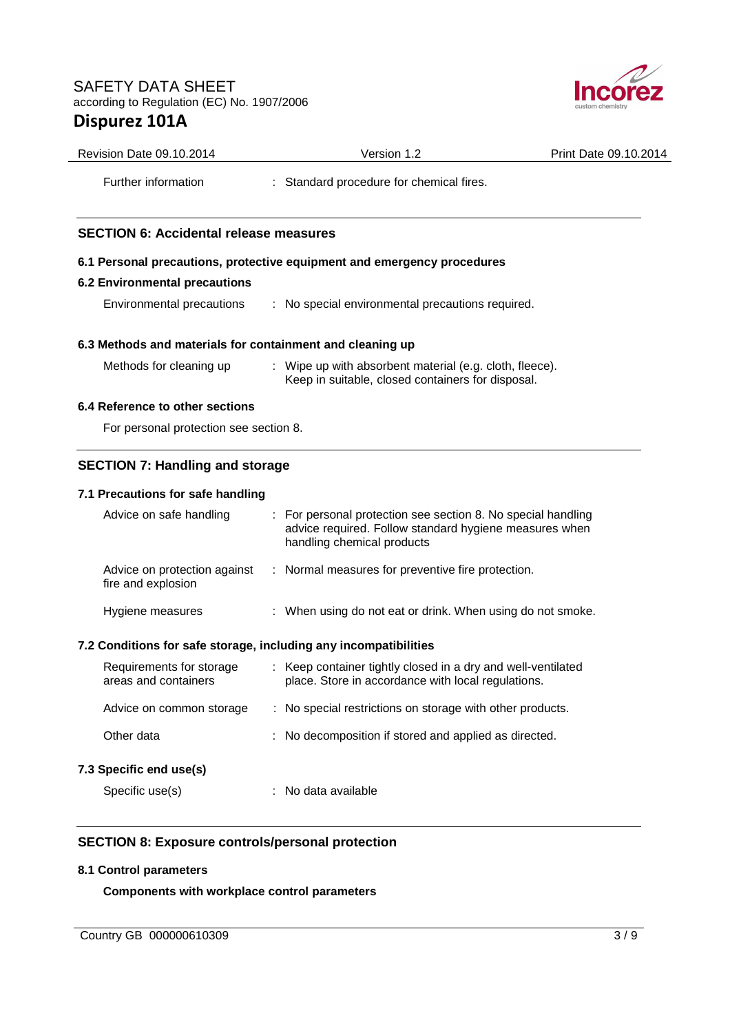

| Revision Date 09.10.2014                                         | Version 1.2                                                                                                                                          | Print Date 09.10.2014 |
|------------------------------------------------------------------|------------------------------------------------------------------------------------------------------------------------------------------------------|-----------------------|
| Further information                                              | : Standard procedure for chemical fires.                                                                                                             |                       |
| <b>SECTION 6: Accidental release measures</b>                    |                                                                                                                                                      |                       |
|                                                                  | 6.1 Personal precautions, protective equipment and emergency procedures                                                                              |                       |
| <b>6.2 Environmental precautions</b>                             |                                                                                                                                                      |                       |
| Environmental precautions                                        | : No special environmental precautions required.                                                                                                     |                       |
| 6.3 Methods and materials for containment and cleaning up        |                                                                                                                                                      |                       |
| Methods for cleaning up                                          | : Wipe up with absorbent material (e.g. cloth, fleece).<br>Keep in suitable, closed containers for disposal.                                         |                       |
| 6.4 Reference to other sections                                  |                                                                                                                                                      |                       |
| For personal protection see section 8.                           |                                                                                                                                                      |                       |
| <b>SECTION 7: Handling and storage</b>                           |                                                                                                                                                      |                       |
| 7.1 Precautions for safe handling                                |                                                                                                                                                      |                       |
| Advice on safe handling                                          | : For personal protection see section 8. No special handling<br>advice required. Follow standard hygiene measures when<br>handling chemical products |                       |
| Advice on protection against<br>fire and explosion               | : Normal measures for preventive fire protection.                                                                                                    |                       |
| Hygiene measures                                                 | : When using do not eat or drink. When using do not smoke.                                                                                           |                       |
| 7.2 Conditions for safe storage, including any incompatibilities |                                                                                                                                                      |                       |
| Requirements for storage<br>areas and containers                 | : Keep container tightly closed in a dry and well-ventilated<br>place. Store in accordance with local regulations.                                   |                       |
| Advice on common storage                                         | No special restrictions on storage with other products.                                                                                              |                       |
| Other data                                                       | No decomposition if stored and applied as directed.                                                                                                  |                       |
| 7.3 Specific end use(s)                                          |                                                                                                                                                      |                       |
| Specific use(s)                                                  | No data available                                                                                                                                    |                       |

## **8.1 Control parameters**

**Components with workplace control parameters**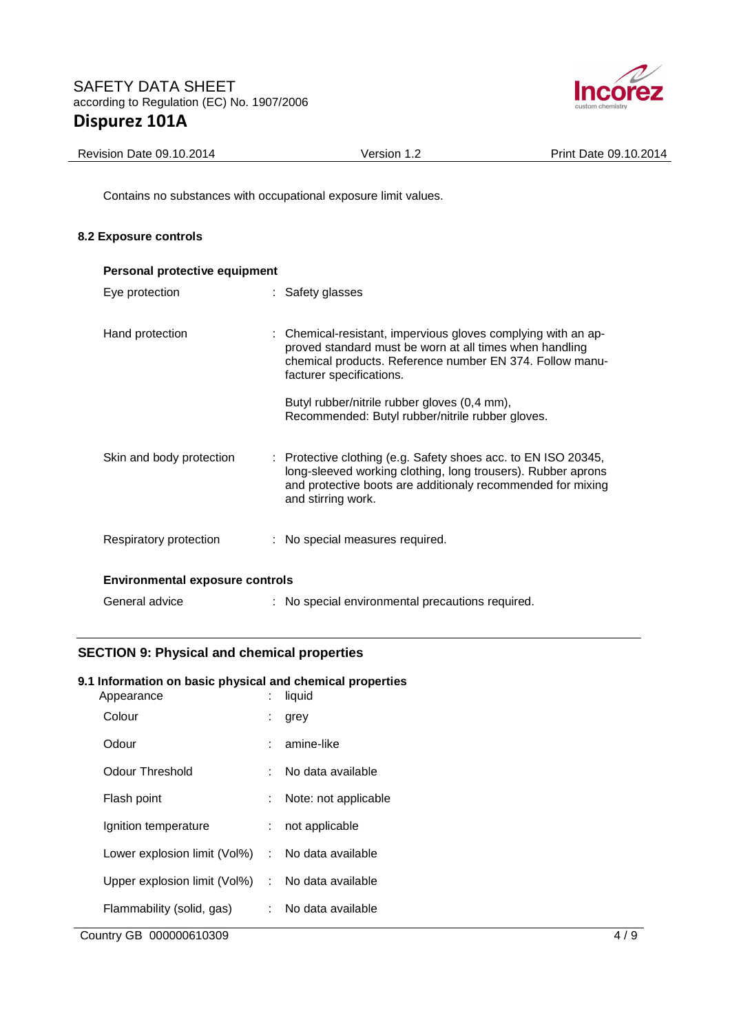

| Revision Date 09.10.2014 | Version 1.2 | Print Date 09.10.2014 |
|--------------------------|-------------|-----------------------|
|                          |             |                       |

Contains no substances with occupational exposure limit values.

# **8.2 Exposure controls**

| Personal protective equipment          |  |                                                                                                                                                                                                                     |  |
|----------------------------------------|--|---------------------------------------------------------------------------------------------------------------------------------------------------------------------------------------------------------------------|--|
| Eye protection                         |  | : Safety glasses                                                                                                                                                                                                    |  |
| Hand protection                        |  | : Chemical-resistant, impervious gloves complying with an ap-<br>proved standard must be worn at all times when handling<br>chemical products. Reference number EN 374. Follow manu-<br>facturer specifications.    |  |
|                                        |  | Butyl rubber/nitrile rubber gloves (0,4 mm),<br>Recommended: Butyl rubber/nitrile rubber gloves.                                                                                                                    |  |
| Skin and body protection               |  | : Protective clothing (e.g. Safety shoes acc. to EN ISO 20345,<br>long-sleeved working clothing, long trousers). Rubber aprons<br>and protective boots are additionaly recommended for mixing<br>and stirring work. |  |
| Respiratory protection                 |  | : No special measures required.                                                                                                                                                                                     |  |
| <b>Environmental exposure controls</b> |  |                                                                                                                                                                                                                     |  |
| General advice                         |  | : No special environmental precautions required.                                                                                                                                                                    |  |

# **SECTION 9: Physical and chemical properties**

# **9.1 Information on basic physical and chemical properties**

| Appearance                                       |     | liquid               |
|--------------------------------------------------|-----|----------------------|
| Colour                                           |     | grey                 |
| Odour                                            |     | amine-like           |
| Odour Threshold                                  |     | No data available    |
| Flash point                                      | t.  | Note: not applicable |
| Ignition temperature                             |     | : not applicable     |
| Lower explosion limit (Vol%)                     |     | : No data available  |
| Upper explosion limit (Vol%) : No data available |     |                      |
| Flammability (solid, gas)                        | t – | No data available    |
|                                                  |     |                      |

Country GB 000000610309 4/9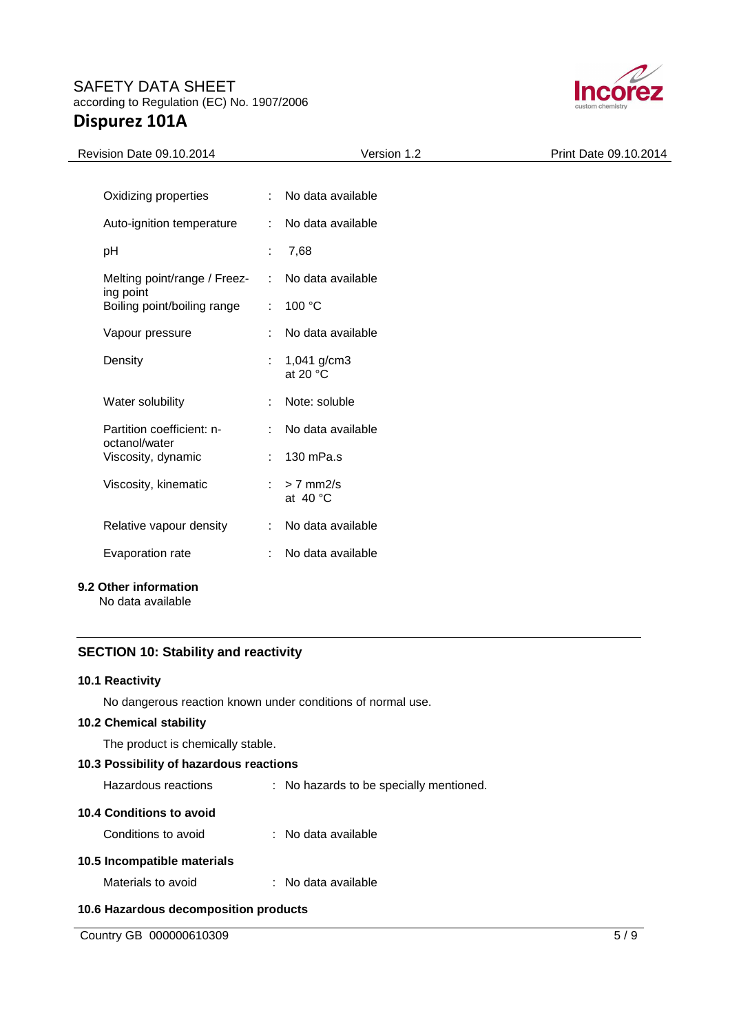

| Revision Date 09.10.2014                        | Version 1.2                         | Print Date 09.10.2014 |
|-------------------------------------------------|-------------------------------------|-----------------------|
|                                                 |                                     |                       |
| Oxidizing properties<br>÷.                      | No data available                   |                       |
| Auto-ignition temperature<br>÷                  | No data available                   |                       |
| pH<br>÷                                         | 7,68                                |                       |
| Melting point/range / Freez-<br>ing point       | No data available                   |                       |
| Boiling point/boiling range<br>÷.               | 100 °C                              |                       |
| Vapour pressure<br>÷.                           | No data available                   |                       |
| Density<br>÷.                                   | 1,041 g/cm3<br>at 20 $\degree$ C    |                       |
| Water solubility<br>÷                           | Note: soluble                       |                       |
| Partition coefficient: n-<br>÷<br>octanol/water | No data available                   |                       |
| Viscosity, dynamic<br>÷.                        | 130 mPa.s                           |                       |
| Viscosity, kinematic<br>÷                       | $> 7$ mm $2/s$<br>at $40^{\circ}$ C |                       |
| Relative vapour density<br>÷.                   | No data available                   |                       |
| Evaporation rate<br>÷                           | No data available                   |                       |
|                                                 |                                     |                       |

# **9.2 Other information**

No data available

# **SECTION 10: Stability and reactivity**

#### **10.1 Reactivity**

No dangerous reaction known under conditions of normal use.

# **10.2 Chemical stability**

The product is chemically stable.

## **10.3 Possibility of hazardous reactions**

Hazardous reactions : No hazards to be specially mentioned.

#### **10.4 Conditions to avoid**

Conditions to avoid : No data available

# **10.5 Incompatible materials**

Materials to avoid : No data available

# **10.6 Hazardous decomposition products**

Country GB 000000610309 5/9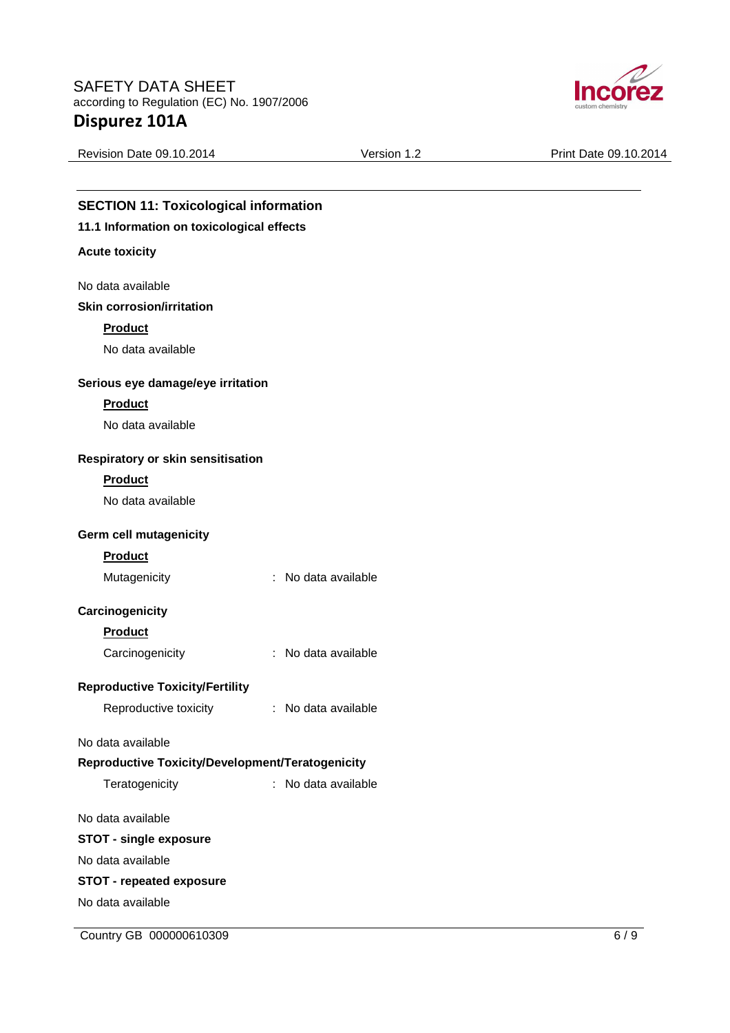

Revision Date 09.10.2014 <br>
Version 1.2 Print Date 09.10.2014 **SECTION 11: Toxicological information 11.1 Information on toxicological effects Acute toxicity**  No data available **Skin corrosion/irritation Product**  No data available **Serious eye damage/eye irritation Product**  No data available **Respiratory or skin sensitisation Product**  No data available **Germ cell mutagenicity Product**  Mutagenicity : No data available **Carcinogenicity Product**  Carcinogenicity : No data available **Reproductive Toxicity/Fertility**  Reproductive toxicity : No data available No data available **Reproductive Toxicity/Development/Teratogenicity**  Teratogenicity : No data available No data available **STOT - single exposure**  No data available **STOT - repeated exposure**  No data available

Country GB 000000610309 6/9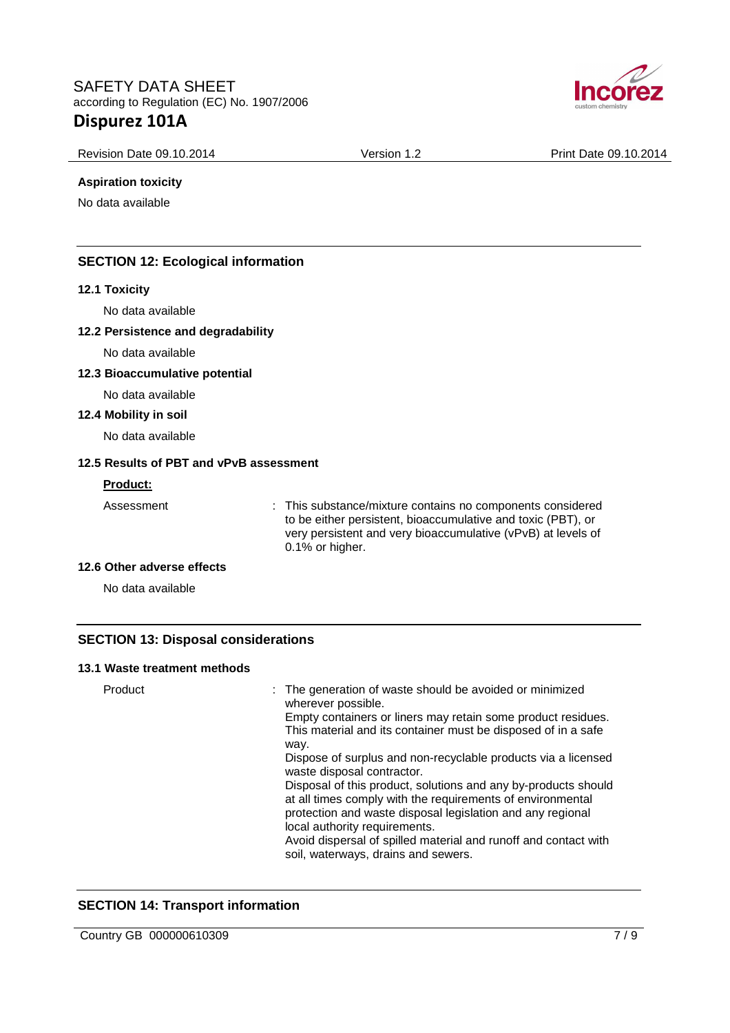

Revision Date 09.10.2014 <br>
Version 1.2 Print Date 09.10.2014

## **Aspiration toxicity**

No data available

# **SECTION 12: Ecological information**

## **12.1 Toxicity**

No data available

## **12.2 Persistence and degradability**

No data available

# **12.3 Bioaccumulative potential**

No data available

## **12.4 Mobility in soil**

No data available

## **12.5 Results of PBT and vPvB assessment**

#### **Product:**

Assessment : This substance/mixture contains no components considered to be either persistent, bioaccumulative and toxic (PBT), or very persistent and very bioaccumulative (vPvB) at levels of 0.1% or higher.

#### **12.6 Other adverse effects**

No data available

# **SECTION 13: Disposal considerations**

## **13.1 Waste treatment methods**

| Product | : The generation of waste should be avoided or minimized<br>wherever possible.<br>Empty containers or liners may retain some product residues.<br>This material and its container must be disposed of in a safe<br>way.<br>Dispose of surplus and non-recyclable products via a licensed                                                                            |
|---------|---------------------------------------------------------------------------------------------------------------------------------------------------------------------------------------------------------------------------------------------------------------------------------------------------------------------------------------------------------------------|
|         | waste disposal contractor.<br>Disposal of this product, solutions and any by-products should<br>at all times comply with the requirements of environmental<br>protection and waste disposal legislation and any regional<br>local authority requirements.<br>Avoid dispersal of spilled material and runoff and contact with<br>soil, waterways, drains and sewers. |

# **SECTION 14: Transport information**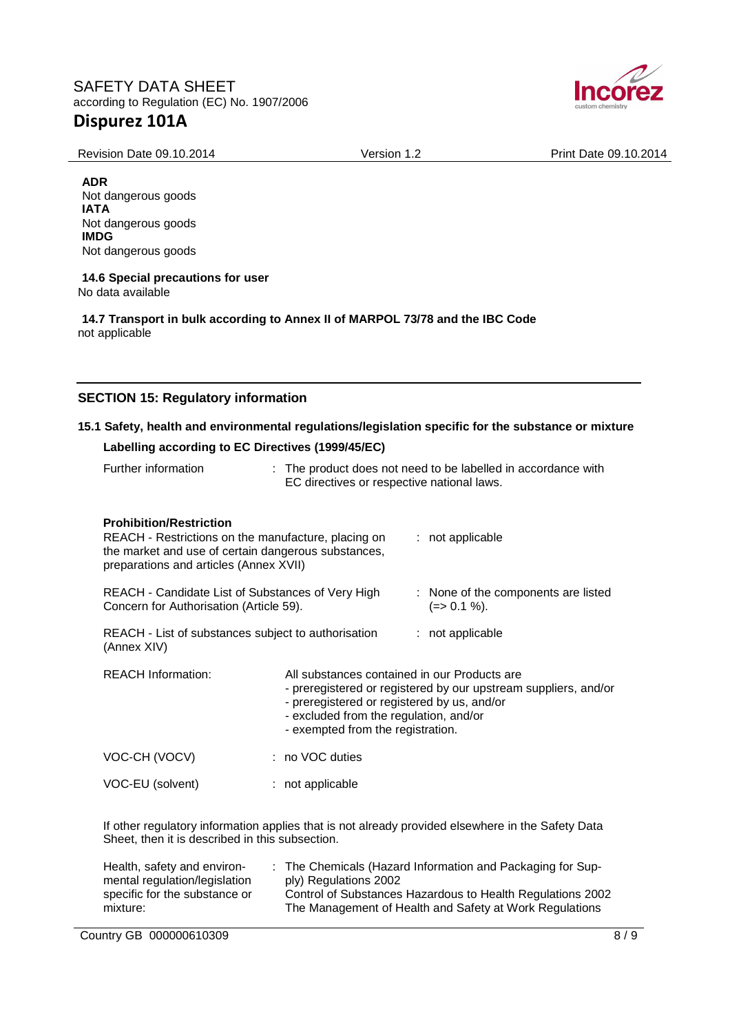

Revision Date 09.10.2014 <br>
Version 1.2 Print Date 09.10.2014

**ADR**

Not dangerous goods **IATA** Not dangerous goods **IMDG** Not dangerous goods

#### **14.6 Special precautions for user** No data available

**14.7 Transport in bulk according to Annex II of MARPOL 73/78 and the IBC Code** not applicable

# **SECTION 15: Regulatory information**

# **15.1 Safety, health and environmental regulations/legislation specific for the substance or mixture**

# **Labelling according to EC Directives (1999/45/EC)**

| Further information                                                                                                                                                                    | EC directives or respective national laws.                                                                                                                                 | : The product does not need to be labelled in accordance with                                     |
|----------------------------------------------------------------------------------------------------------------------------------------------------------------------------------------|----------------------------------------------------------------------------------------------------------------------------------------------------------------------------|---------------------------------------------------------------------------------------------------|
| <b>Prohibition/Restriction</b><br>REACH - Restrictions on the manufacture, placing on<br>the market and use of certain dangerous substances,<br>preparations and articles (Annex XVII) |                                                                                                                                                                            | : not applicable                                                                                  |
| REACH - Candidate List of Substances of Very High<br>: None of the components are listed<br>Concern for Authorisation (Article 59).<br>$(=>0.1\%).$                                    |                                                                                                                                                                            |                                                                                                   |
| REACH - List of substances subject to authorisation<br>(Annex XIV)                                                                                                                     |                                                                                                                                                                            | : not applicable                                                                                  |
| <b>REACH Information:</b>                                                                                                                                                              | All substances contained in our Products are<br>- preregistered or registered by us, and/or<br>- excluded from the regulation, and/or<br>- exempted from the registration. | - preregistered or registered by our upstream suppliers, and/or                                   |
| VOC-CH (VOCV)                                                                                                                                                                          | : no VOC duties                                                                                                                                                            |                                                                                                   |
| VOC-EU (solvent)                                                                                                                                                                       | : not applicable                                                                                                                                                           |                                                                                                   |
|                                                                                                                                                                                        |                                                                                                                                                                            | If other regulatory information applies that is not already provided elsewhere in the Safety Data |

If other regulatory information applies that is not already provided elsewhere in the Safety Data Sheet, then it is described in this subsection.

| Health, safety and environ-   | : The Chemicals (Hazard Information and Packaging for Sup- |
|-------------------------------|------------------------------------------------------------|
| mental regulation/legislation | ply) Regulations 2002                                      |
| specific for the substance or | Control of Substances Hazardous to Health Regulations 2002 |
| mixture:                      | The Management of Health and Safety at Work Regulations    |
|                               |                                                            |

Country GB 000000610309 8/9